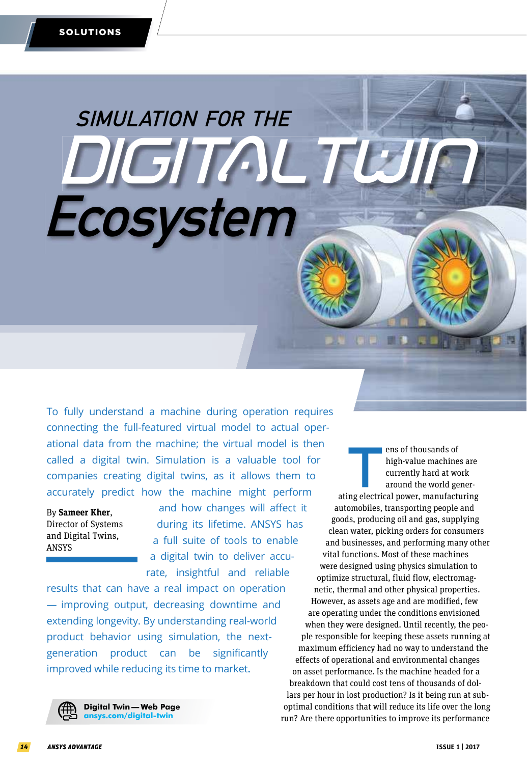# **SIMULATION FOR THE** *DIGI TAL TWIN* **Ecosystem**

To fully understand a machine during operation requires connecting the full-featured virtual model to actual operational data from the machine; the virtual model is then called a digital twin. Simulation is a valuable tool for companies creating digital twins, as it allows them to accurately predict how the machine might perform

By **Sameer Kher**, Director of Systems and Digital Twins, ANSYS

and how changes will affect it during its lifetime. ANSYS has a full suite of tools to enable a digital twin to deliver accurate, insightful and reliable

results that can have a real impact on operation — improving output, decreasing downtime and extending longevity. By understanding real-world product behavior using simulation, the nextgeneration product can be significantly improved while reducing its time to market**.**



**Tens of thousands of**<br> **The high-value machines are**<br>
currently hard at work<br>
around the world gener-<br>
ating electrical power, manufacturing high-value machines are currently hard at work around the world generautomobiles, transporting people and goods, producing oil and gas, supplying clean water, picking orders for consumers and businesses, and performing many other vital functions. Most of these machines were designed using physics simulation to optimize structural, fluid flow, electromagnetic, thermal and other physical properties. However, as assets age and are modified, few are operating under the conditions envisioned when they were designed. Until recently, the people responsible for keeping these assets running at maximum efficiency had no way to understand the effects of operational and environmental changes on asset performance. Is the machine headed for a breakdown that could cost tens of thousands of dollars per hour in lost production? Is it being run at suboptimal conditions that will reduce its life over the long run? Are there opportunities to improve its performance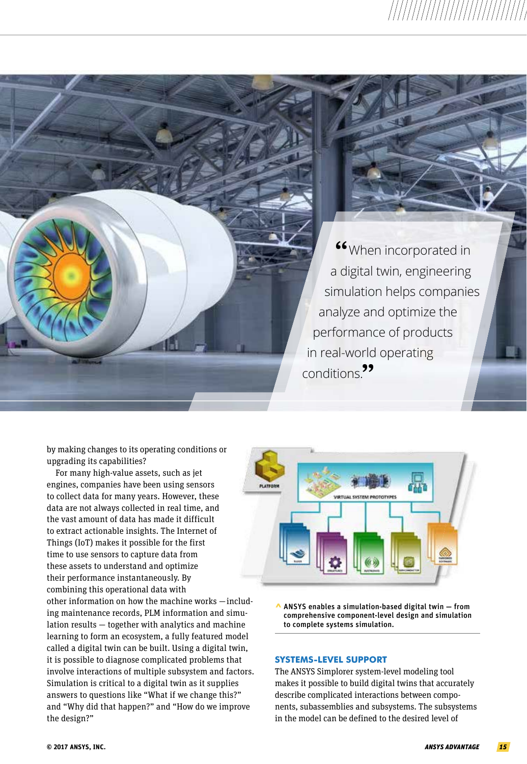**"When incorporated in** a digital twin, engineering simulation helps companies analyze and optimize the performance of products in real-world operating conditions.<sup>77</sup>

by making changes to its operating conditions or upgrading its capabilities?

For many high-value assets, such as jet engines, companies have been using sensors to collect data for many years. However, these data are not always collected in real time, and the vast amount of data has made it difficult to extract actionable insights. The Internet of Things (IoT) makes it possible for the first time to use sensors to capture data from these assets to understand and optimize their performance instantaneously. By combining this operational data with

other information on how the machine works —including maintenance records, PLM information and simulation results — together with analytics and machine learning to form an ecosystem, a fully featured model called a digital twin can be built. Using a digital twin, it is possible to diagnose complicated problems that involve interactions of multiple subsystem and factors. Simulation is critical to a digital twin as it supplies answers to questions like "What if we change this?" and "Why did that happen?" and "How do we improve the design?"



 $\triangle$  ANSYS enables a simulation-based digital twin  $-$  from comprehensive component-level design and simulation to complete systems simulation.

#### **SYSTEMS-LEVEL SUPPORT**

The [ANSYS Simplorer system-level modeling tool](http://www.ansys.com/products/systems/ansys-simplorer)  makes it possible to build digital twins that accurately describe complicated interactions between components, subassemblies and subsystems. The subsystems in the model can be defined to the desired level of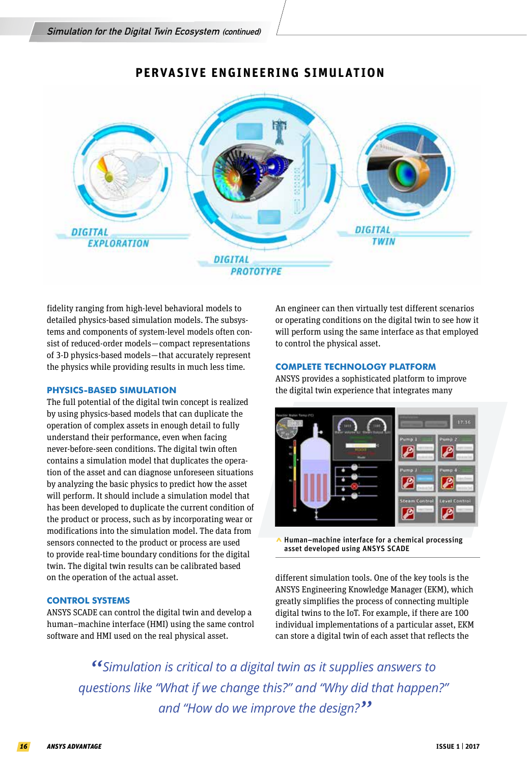

### **PERVASIVE ENGINEERING SIMULATION**

fidelity ranging from high-level behavioral models to detailed physics-based simulation models. The subsystems and components of system-level models often consist of reduced-order models—compact representations of 3-D physics-based models—that accurately represent the physics while providing results in much less time.

#### **PHYSICS-BASED SIMULATION**

The full potential of the digital twin concept is realized by using physics-based models that can duplicate the operation of complex assets in enough detail to fully understand their performance, even when facing never-before-seen conditions. The digital twin often contains a simulation model that duplicates the operation of the asset and can diagnose unforeseen situations by analyzing the basic physics to predict how the asset will perform. It should include a simulation model that has been developed to duplicate the current condition of the product or process, such as by incorporating wear or modifications into the simulation model. The data from sensors connected to the product or process are used to provide real-time boundary conditions for the digital twin. The digital twin results can be calibrated based on the operation of the actual asset.

#### **CONTROL SYSTEMS**

[ANSYS SCADE c](http://www.ansys.com/products/embedded-software)an control the digital twin and develop a human–machine interface (HMI) using the same control software and HMI used on the real physical asset.

An engineer can then virtually test different scenarios or operating conditions on the digital twin to see how it will perform using the same interface as that employed to control the physical asset.

#### **COMPLETE TECHNOLOGY PLATFORM**

ANSYS provides a sophisticated platform to improve the digital twin experience that integrates many



Human–machine interface for a chemical processing asset developed using ANSYS SCADE

different simulation tools. One of the key tools is the [ANSYS Engineering Knowledge Manager \(EKM\),](http://www.ansys.com/products/platform/ansys-ekm) which greatly simplifies the process of connecting multiple digital twins to the IoT. For example, if there are 100 individual implementations of a particular asset, [EKM](http://www.ansys.com/products/platform/ansys-ekm)  can store a digital twin of each asset that reflects the

*"Simulation is critical to a digital twin as it supplies answers to questions like "What if we change this?" and "Why did that happen?" and "How do we improve the design? "*